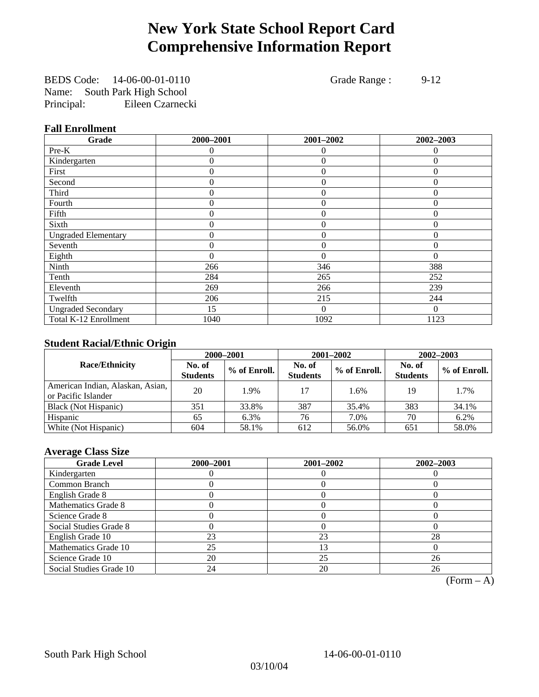# **New York State School Report Card Comprehensive Information Report**

BEDS Code: 14-06-00-01-0110 Grade Range : 9-12 Name: South Park High School Principal: Eileen Czarnecki

## **Fall Enrollment**

| Grade                      | 2000-2001      | 2001-2002      | 2002-2003 |
|----------------------------|----------------|----------------|-----------|
| Pre-K                      | $\Omega$       | $\theta$       | $\theta$  |
| Kindergarten               | 0              | $\overline{0}$ | $\Omega$  |
| First                      | $\theta$       | $\theta$       | $\Omega$  |
| Second                     | 0              | $\theta$       | $\Omega$  |
| Third                      | 0              | $\theta$       | 0         |
| Fourth                     | 0              | $\overline{0}$ | 0         |
| Fifth                      | $\theta$       | $\theta$       | $\Omega$  |
| Sixth                      | 0              | $\Omega$       | $\Omega$  |
| <b>Ungraded Elementary</b> | 0              | $\theta$       | $\Omega$  |
| Seventh                    | 0              | $\overline{0}$ | $\theta$  |
| Eighth                     | $\overline{0}$ | $\theta$       | $\Omega$  |
| Ninth                      | 266            | 346            | 388       |
| Tenth                      | 284            | 265            | 252       |
| Eleventh                   | 269            | 266            | 239       |
| Twelfth                    | 206            | 215            | 244       |
| <b>Ungraded Secondary</b>  | 15             | $\theta$       | $\Omega$  |
| Total K-12 Enrollment      | 1040           | 1092           | 1123      |

## **Student Racial/Ethnic Origin**

|                                                         |                           | 2000-2001    | 2001-2002                 |              | 2002-2003                 |                |
|---------------------------------------------------------|---------------------------|--------------|---------------------------|--------------|---------------------------|----------------|
| <b>Race/Ethnicity</b>                                   | No. of<br><b>Students</b> | % of Enroll. | No. of<br><b>Students</b> | % of Enroll. | No. of<br><b>Students</b> | $%$ of Enroll. |
| American Indian, Alaskan, Asian,<br>or Pacific Islander | 20                        | 1.9%         | 17                        | 1.6%         | 19                        | 1.7%           |
| Black (Not Hispanic)                                    | 351                       | 33.8%        | 387                       | 35.4%        | 383                       | 34.1%          |
| Hispanic                                                | 65                        | 6.3%         | 76                        | 7.0%         | 70                        | 6.2%           |
| White (Not Hispanic)                                    | 604                       | 58.1%        | 612                       | 56.0%        | 651                       | 58.0%          |

## **Average Class Size**

| <b>Grade Level</b>      | 2000-2001 | 2001-2002 | 2002-2003 |
|-------------------------|-----------|-----------|-----------|
| Kindergarten            |           |           |           |
| Common Branch           |           |           |           |
| English Grade 8         |           |           |           |
| Mathematics Grade 8     |           |           |           |
| Science Grade 8         |           |           |           |
| Social Studies Grade 8  |           |           |           |
| English Grade 10        | 23        | 23        | 28        |
| Mathematics Grade 10    | 25        | 13        |           |
| Science Grade 10        | 20        | 25        | 26        |
| Social Studies Grade 10 | 24        | 20        | 26        |

 $(Form - A)$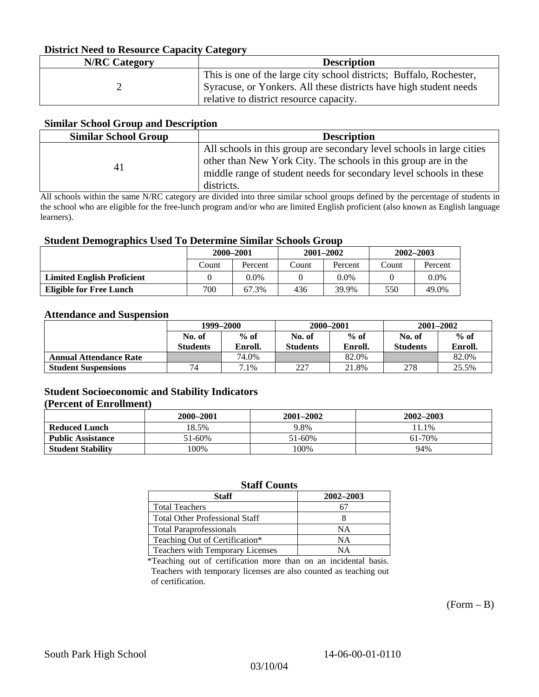## **District Need to Resource Capacity Category**

| <b>N/RC</b> Category | <b>Description</b>                                                  |
|----------------------|---------------------------------------------------------------------|
|                      | This is one of the large city school districts; Buffalo, Rochester, |
|                      | Syracuse, or Yonkers. All these districts have high student needs   |
|                      | relative to district resource capacity.                             |

### **Similar School Group and Description**

| <b>Similar School Group</b> | <b>Description</b>                                                                                                                                                                                                          |
|-----------------------------|-----------------------------------------------------------------------------------------------------------------------------------------------------------------------------------------------------------------------------|
| 41                          | All schools in this group are secondary level schools in large cities<br>other than New York City. The schools in this group are in the<br>middle range of student needs for secondary level schools in these<br>districts. |

All schools within the same N/RC category are divided into three similar school groups defined by the percentage of students in the school who are eligible for the free-lunch program and/or who are limited English proficient (also known as English language learners).

#### **Student Demographics Used To Determine Similar Schools Group**

|                                   | 2000-2001 |         |       | $2001 - 2002$ | 2002-2003 |         |
|-----------------------------------|-----------|---------|-------|---------------|-----------|---------|
|                                   | Count     | Percent | Count | Percent       | Count     | Percent |
| <b>Limited English Proficient</b> |           | 0.0%    |       | $0.0\%$       |           | $0.0\%$ |
| Eligible for Free Lunch           | 700       | 67.3%   | 436   | 39.9%         | 550       | 49.0%   |

#### **Attendance and Suspension**

|                               | 1999–2000       |         | 2000-2001       |         | $2001 - 2002$   |         |
|-------------------------------|-----------------|---------|-----------------|---------|-----------------|---------|
|                               | No. of          | $%$ of  | No. of          | $%$ of  | No. of          | $%$ of  |
|                               | <b>Students</b> | Enroll. | <b>Students</b> | Enroll. | <b>Students</b> | Enroll. |
| <b>Annual Attendance Rate</b> |                 | 74.0%   |                 | 82.0%   |                 | 82.0%   |
| <b>Student Suspensions</b>    | 74              | 7.1%    | 227             | 21.8%   | 278             | 25.5%   |

## **Student Socioeconomic and Stability Indicators**

### **(Percent of Enrollment)**

|                          | 2000–2001 | 2001-2002 | 2002-2003 |
|--------------------------|-----------|-----------|-----------|
| <b>Reduced Lunch</b>     | 18.5%     | 9.8%      | 11.1%     |
| <b>Public Assistance</b> | 51-60%    | 51-60%    | 61-70%    |
| <b>Student Stability</b> | .00%      | 100%      | 94%       |

## **Staff Counts**

| Staff                                 | 2002-2003 |
|---------------------------------------|-----------|
| <b>Total Teachers</b>                 |           |
| <b>Total Other Professional Staff</b> |           |
| <b>Total Paraprofessionals</b>        | NΑ        |
| Teaching Out of Certification*        | NΑ        |
| Teachers with Temporary Licenses      | NА        |

\*Teaching out of certification more than on an incidental basis. Teachers with temporary licenses are also counted as teaching out of certification.

 $(Form - B)$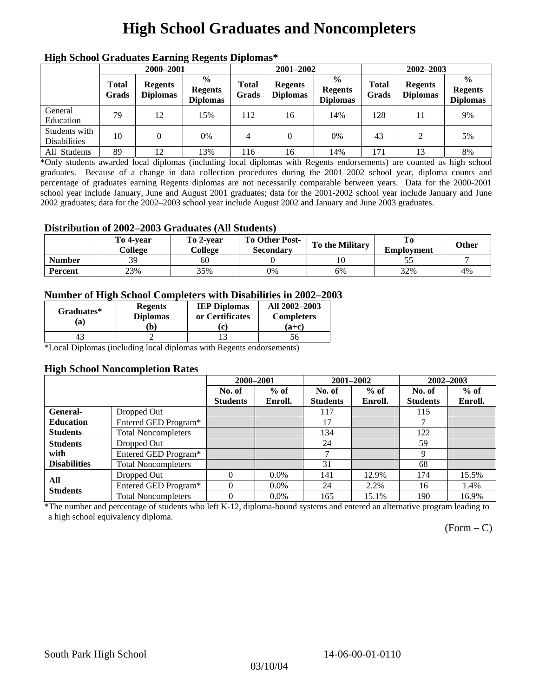# **High School Graduates and Noncompleters**

| ніді эспол этайнакі патінід кеденія вірюшая |                       |                                   |                                                     |                       |                                   |                                                    |                       |                                   |                                                    |  |
|---------------------------------------------|-----------------------|-----------------------------------|-----------------------------------------------------|-----------------------|-----------------------------------|----------------------------------------------------|-----------------------|-----------------------------------|----------------------------------------------------|--|
|                                             | 2000-2001             |                                   |                                                     |                       | 2001-2002                         |                                                    |                       | 2002-2003                         |                                                    |  |
|                                             | <b>Total</b><br>Grads | <b>Regents</b><br><b>Diplomas</b> | $\frac{6}{10}$<br><b>Regents</b><br><b>Diplomas</b> | <b>Total</b><br>Grads | <b>Regents</b><br><b>Diplomas</b> | $\frac{6}{6}$<br><b>Regents</b><br><b>Diplomas</b> | <b>Total</b><br>Grads | <b>Regents</b><br><b>Diplomas</b> | $\frac{0}{0}$<br><b>Regents</b><br><b>Diplomas</b> |  |
| General<br>Education                        | 79                    | 12                                | 15%                                                 | 112                   | 16                                | 14%                                                | 128                   |                                   | 9%                                                 |  |
| Students with<br><b>Disabilities</b>        | 10                    |                                   | 0%                                                  | $\overline{4}$        | $\Omega$                          | 0%                                                 | 43                    | $\mathcal{L}$                     | 5%                                                 |  |
| All Students                                | 89                    | 12                                | 13%                                                 | 116                   | 16                                | 14%                                                | 171                   | 13                                | 8%                                                 |  |

## **High School Graduates Earning Regents Diplomas\***

\*Only students awarded local diplomas (including local diplomas with Regents endorsements) are counted as high school graduates. Because of a change in data collection procedures during the 2001–2002 school year, diploma counts and percentage of graduates earning Regents diplomas are not necessarily comparable between years. Data for the 2000-2001 school year include January, June and August 2001 graduates; data for the 2001-2002 school year include January and June 2002 graduates; data for the 2002–2003 school year include August 2002 and January and June 2003 graduates.

## **Distribution of 2002–2003 Graduates (All Students)**

|               | To 4-vear<br>College | To 2-vear<br>College | <b>To Other Post-</b><br><b>Secondary</b> | <b>To the Military</b> | <b>Employment</b> | Other |
|---------------|----------------------|----------------------|-------------------------------------------|------------------------|-------------------|-------|
| <b>Number</b> | 39                   | 60                   |                                           |                        | ັ                 |       |
| Percent       | 23%                  | 35%                  | 0%                                        | 6%                     | 32%               | 4%    |

## **Number of High School Completers with Disabilities in 2002–2003**

| Graduates*<br>(a) | <b>Regents</b><br><b>Diplomas</b><br>`b) | <b>IEP Diplomas</b><br>or Certificates | All 2002-2003<br><b>Completers</b><br>$(a+c)$ |
|-------------------|------------------------------------------|----------------------------------------|-----------------------------------------------|
|                   |                                          |                                        | 56                                            |

\*Local Diplomas (including local diplomas with Regents endorsements)

#### **High School Noncompletion Rates**

|                     |                            | 2000-2001       |         | 2001-2002       |         | 2002-2003       |         |
|---------------------|----------------------------|-----------------|---------|-----------------|---------|-----------------|---------|
|                     |                            | No. of          | $%$ of  | No. of          | $%$ of  | No. of          | $%$ of  |
|                     |                            | <b>Students</b> | Enroll. | <b>Students</b> | Enroll. | <b>Students</b> | Enroll. |
| <b>General-</b>     | Dropped Out                |                 |         | 117             |         | 115             |         |
| <b>Education</b>    | Entered GED Program*       |                 |         | 17              |         |                 |         |
| <b>Students</b>     | <b>Total Noncompleters</b> |                 |         | 134             |         | 122             |         |
| <b>Students</b>     | Dropped Out                |                 |         | 24              |         | 59              |         |
| with                | Entered GED Program*       |                 |         | ┑               |         | 9               |         |
| <b>Disabilities</b> | <b>Total Noncompleters</b> |                 |         | 31              |         | 68              |         |
| All                 | Dropped Out                | 0               | $0.0\%$ | 141             | 12.9%   | 174             | 15.5%   |
| <b>Students</b>     | Entered GED Program*       | $\theta$        | $0.0\%$ | 24              | 2.2%    | 16              | 1.4%    |
|                     | <b>Total Noncompleters</b> | $\Omega$        | $0.0\%$ | 165             | 15.1%   | 190             | 16.9%   |

\*The number and percentage of students who left K-12, diploma-bound systems and entered an alternative program leading to a high school equivalency diploma.

 $(Form - C)$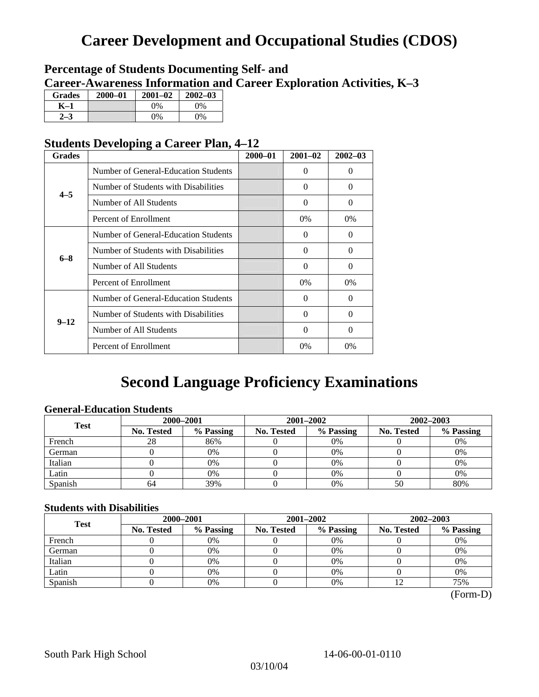# **Career Development and Occupational Studies (CDOS)**

## **Percentage of Students Documenting Self- and Career-Awareness Information and Career Exploration Activities, K–3**

| <b>Grades</b> | 2000-01 | $2001 - 02$ | $2002 - 03$ |
|---------------|---------|-------------|-------------|
| K-1           |         | $0\%$       | $0\%$       |
|               |         | $0\%$       | 0%          |

## **Students Developing a Career Plan, 4–12**

| <b>Grades</b> |                                      | $2000 - 01$ | $2001 - 02$ | $2002 - 03$ |
|---------------|--------------------------------------|-------------|-------------|-------------|
|               | Number of General-Education Students |             | $\Omega$    | $\theta$    |
| $4 - 5$       | Number of Students with Disabilities |             | 0           | $\Omega$    |
|               | Number of All Students               |             | $\Omega$    | $\Omega$    |
|               | Percent of Enrollment                |             | $0\%$       | 0%          |
|               | Number of General-Education Students |             | 0           | 0           |
| $6 - 8$       | Number of Students with Disabilities |             | $\theta$    | $\Omega$    |
|               | Number of All Students               |             | $\theta$    | $\Omega$    |
|               | Percent of Enrollment                |             | $0\%$       | $0\%$       |
|               | Number of General-Education Students |             | 0           | $\Omega$    |
| $9 - 12$      | Number of Students with Disabilities |             | 0           | $\Omega$    |
|               | Number of All Students               |             | 0           | $\Omega$    |
|               | Percent of Enrollment                |             | $0\%$       | $0\%$       |

# **Second Language Proficiency Examinations**

## **General-Education Students**

| <b>Test</b> | 2000-2001         |           |            | 2001–2002 | 2002-2003         |           |  |
|-------------|-------------------|-----------|------------|-----------|-------------------|-----------|--|
|             | <b>No. Tested</b> | % Passing | No. Tested | % Passing | <b>No. Tested</b> | % Passing |  |
| French      | 28                | 86%       |            | $0\%$     |                   | 0%        |  |
| German      |                   | 0%        |            | 0%        |                   | 0%        |  |
| Italian     |                   | 0%        |            | 0%        |                   | 0%        |  |
| Latin       |                   | 0%        |            | 0%        |                   | 0%        |  |
| Spanish     | 64                | 39%       |            | 0%        | 50                | 80%       |  |

## **Students with Disabilities**

| <b>Test</b> | 2000-2001         |           |            | 2001-2002 | 2002-2003         |           |  |
|-------------|-------------------|-----------|------------|-----------|-------------------|-----------|--|
|             | <b>No. Tested</b> | % Passing | No. Tested | % Passing | <b>No. Tested</b> | % Passing |  |
| French      |                   | 0%        |            | 0%        |                   | 0%        |  |
| German      |                   | 0%        |            | $0\%$     |                   | 0%        |  |
| Italian     |                   | 0%        |            | 0%        |                   | 0%        |  |
| Latin       |                   | 0%        |            | $0\%$     |                   | 0%        |  |
| Spanish     |                   | 0%        |            | 0%        |                   | 75%       |  |

 <sup>(</sup>Form-D)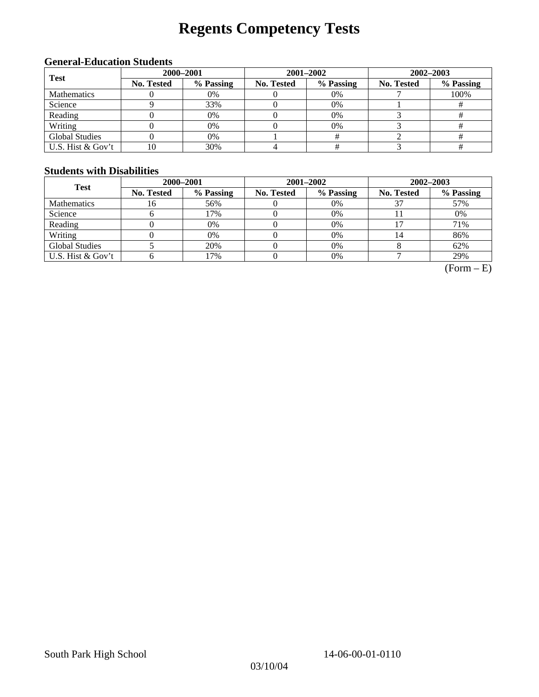# **Regents Competency Tests**

## **General-Education Students**

| <b>Test</b>           | 2000-2001  |           |            | 2001-2002 | $2002 - 2003$ |           |  |
|-----------------------|------------|-----------|------------|-----------|---------------|-----------|--|
|                       | No. Tested | % Passing | No. Tested | % Passing | No. Tested    | % Passing |  |
| <b>Mathematics</b>    |            | 0%        |            | $0\%$     |               | 100%      |  |
| Science               |            | 33%       |            | 0%        |               |           |  |
| Reading               |            | 0%        |            | $0\%$     |               |           |  |
| Writing               |            | 0%        |            | 0%        |               |           |  |
| <b>Global Studies</b> |            | 0%        |            |           |               |           |  |
| U.S. Hist & Gov't     | 10         | 30%       |            |           |               |           |  |

## **Students with Disabilities**

| <b>Test</b>           | 2000-2001         |           |            | 2001-2002 | 2002-2003         |           |  |
|-----------------------|-------------------|-----------|------------|-----------|-------------------|-----------|--|
|                       | <b>No. Tested</b> | % Passing | No. Tested | % Passing | <b>No. Tested</b> | % Passing |  |
| <b>Mathematics</b>    | 16                | 56%       |            | 0%        |                   | 57%       |  |
| Science               |                   | 17%       |            | 0%        |                   | 0%        |  |
| Reading               |                   | 0%        |            | 0%        |                   | 71%       |  |
| Writing               |                   | 0%        |            | 0%        | 14                | 86%       |  |
| <b>Global Studies</b> |                   | 20%       |            | 0%        |                   | 62%       |  |
| U.S. Hist & Gov't     |                   | 17%       |            | 0%        |                   | 29%       |  |

 $(Form - E)$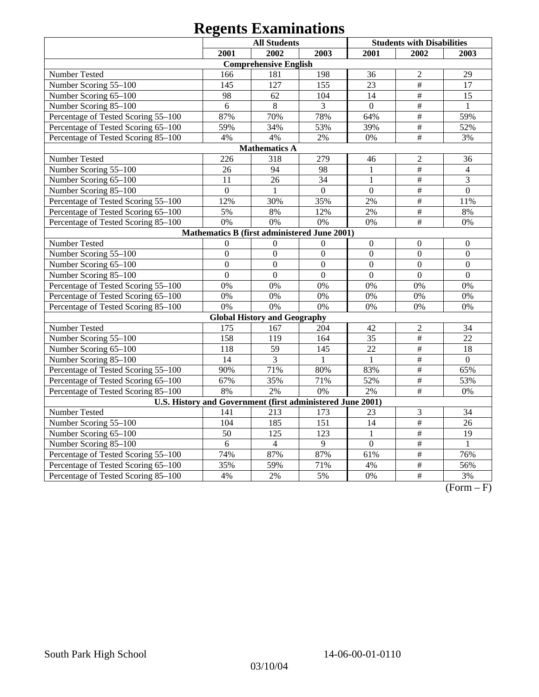# **Regents Examinations**

|                                                            | <b>All Students</b> |                                     |                   |                  | <b>Students with Disabilities</b> |                  |  |  |
|------------------------------------------------------------|---------------------|-------------------------------------|-------------------|------------------|-----------------------------------|------------------|--|--|
|                                                            | 2001                | 2002                                | 2003              | 2001             | 2002                              | 2003             |  |  |
|                                                            |                     | <b>Comprehensive English</b>        |                   |                  |                                   |                  |  |  |
| Number Tested                                              | 166                 | 181                                 | 198               | 36               | $\overline{2}$                    | 29               |  |  |
| Number Scoring 55-100                                      | 145                 | 127                                 | 155               | 23               | $\frac{1}{2}$                     | 17               |  |  |
| Number Scoring 65-100                                      | 98                  | 62                                  | 104               | 14               | $\frac{1}{2}$                     | 15               |  |  |
| Number Scoring 85-100                                      | 6                   | 8                                   | 3                 | $\overline{0}$   | $\overline{\#}$                   | $\mathbf{1}$     |  |  |
| Percentage of Tested Scoring 55-100                        | 87%                 | 70%                                 | 78%               | 64%              | $\#$                              | 59%              |  |  |
| Percentage of Tested Scoring 65-100                        | 59%                 | 34%                                 | 53%               | 39%              | $\#$                              | 52%              |  |  |
| Percentage of Tested Scoring 85-100                        | 4%                  | 4%                                  | 2%                | 0%               | $\frac{1}{2}$                     | 3%               |  |  |
|                                                            |                     | <b>Mathematics A</b>                |                   |                  |                                   |                  |  |  |
| Number Tested                                              | 226                 | 318                                 | 279               | 46               | $\overline{2}$                    | 36               |  |  |
| Number Scoring 55-100                                      | 26                  | 94                                  | 98                | $\mathbf{1}$     | $\overline{\#}$                   | $\overline{4}$   |  |  |
| Number Scoring 65-100                                      | 11                  | 26                                  | 34                | $\mathbf{1}$     | $\overline{\#}$                   | 3                |  |  |
| Number Scoring 85-100                                      | $\overline{0}$      | 1                                   | $\overline{0}$    | $\mathbf{0}$     | $\#$                              | $\overline{0}$   |  |  |
| Percentage of Tested Scoring 55-100                        | 12%                 | 30%                                 | 35%               | 2%               | $\frac{1}{2}$                     | 11%              |  |  |
| Percentage of Tested Scoring 65-100                        | 5%                  | 8%                                  | 12%               | 2%               | $\#$                              | $8\%$            |  |  |
| Percentage of Tested Scoring 85-100                        | 0%                  | 0%                                  | 0%                | 0%               | $\#$                              | 0%               |  |  |
| Mathematics B (first administered June 2001)               |                     |                                     |                   |                  |                                   |                  |  |  |
| Number Tested                                              | $\Omega$            | $\mathbf{0}$                        | $\boldsymbol{0}$  | $\boldsymbol{0}$ | $\boldsymbol{0}$                  | $\boldsymbol{0}$ |  |  |
| Number Scoring 55-100                                      | $\boldsymbol{0}$    | $\boldsymbol{0}$                    | $\boldsymbol{0}$  | $\overline{0}$   | $\boldsymbol{0}$                  | $\boldsymbol{0}$ |  |  |
| Number Scoring 65-100                                      | $\overline{0}$      | $\mathbf{0}$                        | $\mathbf{0}$      | $\overline{0}$   | $\overline{0}$                    | $\overline{0}$   |  |  |
| Number Scoring 85-100                                      | $\overline{0}$      | $\overline{0}$                      | $\overline{0}$    | $\overline{0}$   | $\mathbf{0}$                      | $\overline{0}$   |  |  |
| Percentage of Tested Scoring 55-100                        | 0%                  | 0%                                  | 0%                | 0%               | 0%                                | 0%               |  |  |
| Percentage of Tested Scoring 65-100                        | 0%                  | 0%                                  | 0%                | 0%               | 0%                                | 0%               |  |  |
| Percentage of Tested Scoring 85-100                        | 0%                  | 0%                                  | 0%                | 0%               | 0%                                | 0%               |  |  |
|                                                            |                     | <b>Global History and Geography</b> |                   |                  |                                   |                  |  |  |
| Number Tested                                              | 175                 | 167                                 | 204               | 42               | $\overline{2}$                    | 34               |  |  |
| Number Scoring 55-100                                      | 158                 | 119                                 | 164               | 35               | $\#$                              | 22               |  |  |
| Number Scoring 65-100                                      | 118                 | 59                                  | 145               | 22               | $\#$                              | 18               |  |  |
| Number Scoring 85-100                                      | 14                  | 3                                   | 1                 | 1                | $\overline{\#}$                   | $\mathbf{0}$     |  |  |
| Percentage of Tested Scoring 55-100                        | 90%                 | 71%                                 | 80%               | 83%              | $\overline{\#}$                   | 65%              |  |  |
| Percentage of Tested Scoring 65-100                        | 67%                 | 35%                                 | 71%               | 52%              | $\overline{\#}$                   | 53%              |  |  |
| Percentage of Tested Scoring 85-100                        | 8%                  | 2%                                  | 0%                | 2%               | $\#$                              | 0%               |  |  |
| U.S. History and Government (first administered June 2001) |                     |                                     |                   |                  |                                   |                  |  |  |
| Number Tested                                              | 141                 | 213                                 | 173               | 23               | $\mathfrak{Z}$                    | 34               |  |  |
| Number Scoring 55-100                                      | 104                 | 185                                 | 151               | 14               | $\overline{\#}$                   | $\overline{26}$  |  |  |
| Number Scoring 65-100                                      | $\overline{50}$     | 125                                 | 123               | $\mathbf{1}$     | $\frac{1}{2}$                     | 19               |  |  |
| Number Scoring 85-100                                      | 6                   | $\overline{4}$                      | 9                 | $\overline{0}$   | $\overline{\#}$                   | $\mathbf{1}$     |  |  |
| Percentage of Tested Scoring 55-100                        | 74%                 | 87%                                 | 87%               | 61%              | $\#$                              | 76%              |  |  |
| Percentage of Tested Scoring 65-100                        | 35%                 | 59%                                 | $71\overline{\%}$ | 4%               | $\#$                              | 56%              |  |  |
| Percentage of Tested Scoring 85-100                        | 4%                  | 2%                                  | 5%                | 0%               | $\overline{\#}$                   | 3%               |  |  |

 $(Form - F)$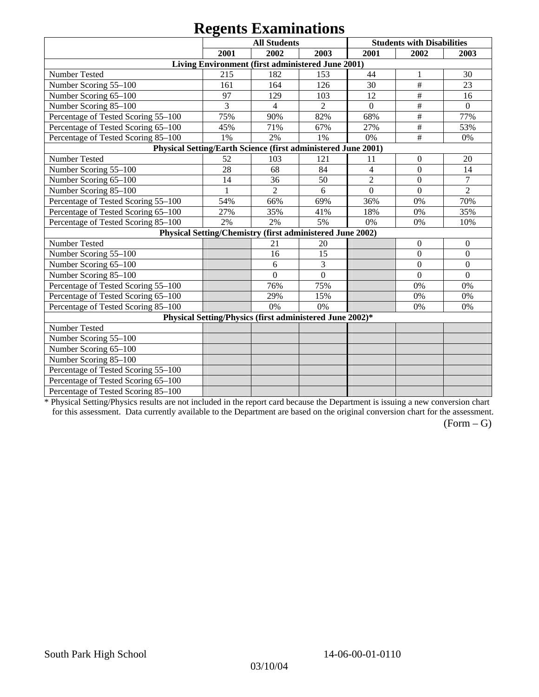# **Regents Examinations**

|                                                               |              | <b>All Students</b>                                       |                |                | <b>Students with Disabilities</b> |                  |
|---------------------------------------------------------------|--------------|-----------------------------------------------------------|----------------|----------------|-----------------------------------|------------------|
|                                                               | 2001         | 2002                                                      | 2003           | 2001           | 2002                              | 2003             |
|                                                               |              | Living Environment (first administered June 2001)         |                |                |                                   |                  |
| Number Tested                                                 | 215          | 182                                                       | 153            | 44             | 1                                 | 30               |
| Number Scoring 55-100                                         | 161          | 164                                                       | 126            | 30             | $\#$                              | 23               |
| Number Scoring 65-100                                         | 97           | 129                                                       | 103            | 12             | $\#$                              | 16               |
| Number Scoring 85-100                                         | 3            | $\overline{4}$                                            | $\overline{2}$ | $\Omega$       | $\#$                              | $\mathbf{0}$     |
| Percentage of Tested Scoring 55-100                           | 75%          | 90%                                                       | 82%            | 68%            | $\#$                              | 77%              |
| Percentage of Tested Scoring 65-100                           | 45%          | 71%                                                       | 67%            | 27%            | $\#$                              | 53%              |
| Percentage of Tested Scoring 85-100                           | 1%           | 2%                                                        | 1%             | 0%             | #                                 | 0%               |
| Physical Setting/Earth Science (first administered June 2001) |              |                                                           |                |                |                                   |                  |
| Number Tested                                                 | 52           | 103                                                       | 121            | 11             | $\mathbf{0}$                      | 20               |
| Number Scoring 55-100                                         | 28           | 68                                                        | 84             | $\overline{4}$ | $\boldsymbol{0}$                  | 14               |
| Number Scoring 65-100                                         | 14           | 36                                                        | 50             | $\overline{2}$ | $\boldsymbol{0}$                  | $\tau$           |
| Number Scoring 85-100                                         | $\mathbf{1}$ | $\overline{2}$                                            | 6              | $\overline{0}$ | $\overline{0}$                    | $\overline{2}$   |
| Percentage of Tested Scoring 55-100                           | 54%          | 66%                                                       | 69%            | 36%            | 0%                                | 70%              |
| Percentage of Tested Scoring 65-100                           | 27%          | 35%                                                       | 41%            | 18%            | 0%                                | 35%              |
| Percentage of Tested Scoring 85-100                           | 2%           | 2%                                                        | 5%             | 0%             | 0%                                | 10%              |
|                                                               |              | Physical Setting/Chemistry (first administered June 2002) |                |                |                                   |                  |
| Number Tested                                                 |              | 21                                                        | 20             |                | $\boldsymbol{0}$                  | $\overline{0}$   |
| Number Scoring 55-100                                         |              | 16                                                        | 15             |                | $\boldsymbol{0}$                  | $\boldsymbol{0}$ |
| Number Scoring 65-100                                         |              | 6                                                         | 3              |                | $\mathbf{0}$                      | $\mathbf{0}$     |
| Number Scoring 85-100                                         |              | $\Omega$                                                  | $\theta$       |                | $\Omega$                          | $\overline{0}$   |
| Percentage of Tested Scoring 55-100                           |              | 76%                                                       | 75%            |                | 0%                                | 0%               |
| Percentage of Tested Scoring 65-100                           |              | 29%                                                       | 15%            |                | $0\%$                             | 0%               |
| Percentage of Tested Scoring 85-100                           |              | 0%                                                        | $0\%$          |                | 0%                                | 0%               |
|                                                               |              | Physical Setting/Physics (first administered June 2002)*  |                |                |                                   |                  |
| Number Tested                                                 |              |                                                           |                |                |                                   |                  |
| Number Scoring 55-100                                         |              |                                                           |                |                |                                   |                  |
| Number Scoring 65-100                                         |              |                                                           |                |                |                                   |                  |
| Number Scoring 85-100                                         |              |                                                           |                |                |                                   |                  |
| Percentage of Tested Scoring 55-100                           |              |                                                           |                |                |                                   |                  |
| Percentage of Tested Scoring 65-100                           |              |                                                           |                |                |                                   |                  |
| Percentage of Tested Scoring 85-100                           |              |                                                           |                |                |                                   |                  |

\* Physical Setting/Physics results are not included in the report card because the Department is issuing a new conversion chart for this assessment. Data currently available to the Department are based on the original conversion chart for the assessment.

 $(Form - G)$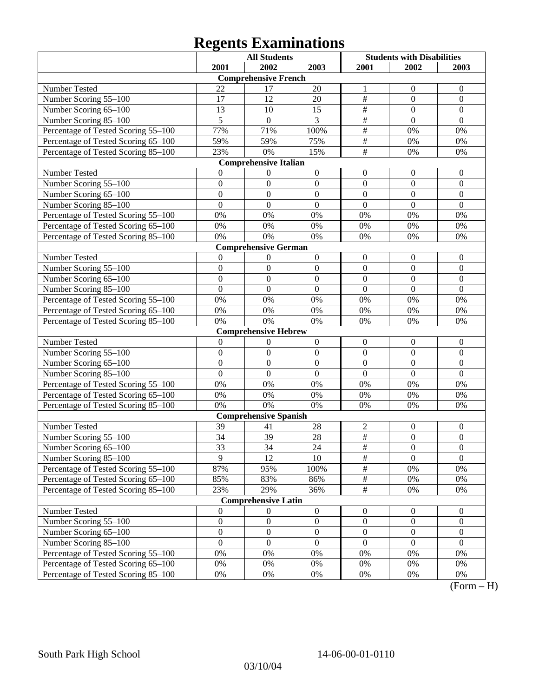# **Regents Examinations**

|                                     |                  | <b>All Students</b>          |                  | <b>Students with Disabilities</b> |                  |                  |
|-------------------------------------|------------------|------------------------------|------------------|-----------------------------------|------------------|------------------|
|                                     | 2001             | 2002                         | 2003             | 2001                              | 2002             | 2003             |
|                                     |                  | <b>Comprehensive French</b>  |                  |                                   |                  |                  |
| Number Tested                       | 22               | 17                           | 20               | 1                                 | $\boldsymbol{0}$ | $\boldsymbol{0}$ |
| Number Scoring 55-100               | 17               | 12                           | 20               | $\overline{\overline{H}}$         | $\mathbf{0}$     | $\mathbf{0}$     |
| Number Scoring 65-100               | 13               | 10                           | 15               | #                                 | $\mathbf{0}$     | $\mathbf{0}$     |
| Number Scoring 85-100               | $\overline{5}$   | $\boldsymbol{0}$             | $\overline{3}$   | #                                 | $\mathbf{0}$     | $\mathbf{0}$     |
| Percentage of Tested Scoring 55-100 | 77%              | 71%                          | 100%             | #                                 | 0%               | 0%               |
| Percentage of Tested Scoring 65-100 | 59%              | 59%                          | 75%              | #                                 | 0%               | 0%               |
| Percentage of Tested Scoring 85-100 | 23%              | 0%                           | 15%              | #                                 | 0%               | 0%               |
|                                     |                  | <b>Comprehensive Italian</b> |                  |                                   |                  |                  |
| Number Tested                       | $\overline{0}$   | $\boldsymbol{0}$             | $\boldsymbol{0}$ | $\boldsymbol{0}$                  | $\boldsymbol{0}$ | $\boldsymbol{0}$ |
| Number Scoring 55-100               | $\mathbf{0}$     | $\mathbf{0}$                 | $\boldsymbol{0}$ | $\boldsymbol{0}$                  | $\boldsymbol{0}$ | $\boldsymbol{0}$ |
| Number Scoring 65-100               | $\mathbf{0}$     | $\overline{0}$               | $\mathbf{0}$     | $\overline{0}$                    | $\mathbf{0}$     | $\mathbf{0}$     |
| Number Scoring 85-100               | $\mathbf{0}$     | $\overline{0}$               | $\mathbf{0}$     | $\overline{0}$                    | $\mathbf{0}$     | $\mathbf{0}$     |
| Percentage of Tested Scoring 55-100 | 0%               | 0%                           | 0%               | 0%                                | 0%               | 0%               |
| Percentage of Tested Scoring 65-100 | 0%               | 0%                           | 0%               | 0%                                | 0%               | 0%               |
| Percentage of Tested Scoring 85-100 | 0%               | 0%                           | 0%               | 0%                                | 0%               | 0%               |
|                                     |                  | <b>Comprehensive German</b>  |                  |                                   |                  |                  |
| Number Tested                       | $\theta$         | 0                            | $\boldsymbol{0}$ | $\boldsymbol{0}$                  | $\boldsymbol{0}$ | $\boldsymbol{0}$ |
| Number Scoring 55-100               | $\mathbf{0}$     | $\mathbf{0}$                 | $\mathbf{0}$     | $\boldsymbol{0}$                  | $\boldsymbol{0}$ | $\boldsymbol{0}$ |
| Number Scoring 65-100               | $\mathbf{0}$     | $\mathbf{0}$                 | $\mathbf{0}$     | $\overline{0}$                    | $\mathbf{0}$     | $\boldsymbol{0}$ |
| Number Scoring 85-100               | $\mathbf{0}$     | $\overline{0}$               | $\mathbf{0}$     | $\boldsymbol{0}$                  | $\mathbf{0}$     | $\mathbf{0}$     |
| Percentage of Tested Scoring 55-100 | 0%               | 0%                           | 0%               | 0%                                | 0%               | 0%               |
| Percentage of Tested Scoring 65-100 | 0%               | 0%                           | 0%               | 0%                                | 0%               | 0%               |
| Percentage of Tested Scoring 85-100 | 0%               | 0%                           | 0%               | 0%                                | 0%               | 0%               |
|                                     |                  | <b>Comprehensive Hebrew</b>  |                  |                                   |                  |                  |
| Number Tested                       | $\theta$         | $\boldsymbol{0}$             | $\boldsymbol{0}$ | $\boldsymbol{0}$                  | $\boldsymbol{0}$ | $\boldsymbol{0}$ |
| Number Scoring 55-100               | $\mathbf{0}$     | $\mathbf{0}$                 | $\mathbf{0}$     | $\boldsymbol{0}$                  | $\mathbf{0}$     | $\mathbf{0}$     |
| Number Scoring 65-100               | $\mathbf{0}$     | $\mathbf{0}$                 | $\mathbf{0}$     | $\overline{0}$                    | $\mathbf{0}$     | $\mathbf{0}$     |
| Number Scoring 85-100               | $\mathbf{0}$     | $\boldsymbol{0}$             | $\mathbf{0}$     | $\boldsymbol{0}$                  | $\mathbf{0}$     | $\mathbf{0}$     |
| Percentage of Tested Scoring 55-100 | 0%               | 0%                           | 0%               | 0%                                | 0%               | 0%               |
| Percentage of Tested Scoring 65-100 | 0%               | 0%                           | $0\%$            | 0%                                | 0%               | 0%               |
| Percentage of Tested Scoring 85-100 | 0%               | 0%                           | 0%               | 0%                                | 0%               | 0%               |
|                                     |                  | <b>Comprehensive Spanish</b> |                  |                                   |                  |                  |
| Number Tested                       | 39               | 41                           | 28               | $\sqrt{2}$                        | $\boldsymbol{0}$ | $\boldsymbol{0}$ |
| Number Scoring 55-100               | 34               | 39                           | 28               | $\overline{\ddot{\pi}}$           | $\boldsymbol{0}$ | $\boldsymbol{0}$ |
| Number Scoring 65-100               | 33               | 34                           | $\overline{24}$  | $\overline{\#}$                   | $\boldsymbol{0}$ | $\boldsymbol{0}$ |
| Number Scoring 85-100               | 9                | 12                           | 10               | $\overline{\#}$                   | $\mathbf{0}$     | $\overline{0}$   |
| Percentage of Tested Scoring 55-100 | 87%              | 95%                          | 100%             | $\frac{1}{2}$                     | $0\%$            | $0\%$            |
| Percentage of Tested Scoring 65-100 | 85%              | 83%                          | 86%              | $\frac{1}{2}$                     | $0\%$            | $0\%$            |
| Percentage of Tested Scoring 85-100 | 23%              | 29%                          | 36%              | $\overline{\#}$                   | $0\%$            | $0\%$            |
|                                     |                  | <b>Comprehensive Latin</b>   |                  |                                   |                  |                  |
| Number Tested                       | $\boldsymbol{0}$ | $\theta$                     | $\boldsymbol{0}$ | $\boldsymbol{0}$                  | $\boldsymbol{0}$ | $\boldsymbol{0}$ |
| Number Scoring 55-100               | $\boldsymbol{0}$ | $\boldsymbol{0}$             | $\boldsymbol{0}$ | $\boldsymbol{0}$                  | $\boldsymbol{0}$ | $\boldsymbol{0}$ |
| Number Scoring 65-100               | $\boldsymbol{0}$ | $\boldsymbol{0}$             | $\boldsymbol{0}$ | $\boldsymbol{0}$                  | $\boldsymbol{0}$ | $\boldsymbol{0}$ |
| Number Scoring 85-100               | $\boldsymbol{0}$ | $\boldsymbol{0}$             | $\boldsymbol{0}$ | $\boldsymbol{0}$                  | $\boldsymbol{0}$ | $\boldsymbol{0}$ |
| Percentage of Tested Scoring 55-100 | $0\%$            | $0\%$                        | $0\%$            | $0\%$                             | $0\%$            | $0\%$            |
| Percentage of Tested Scoring 65-100 | $0\%$            | $0\%$                        | $0\%$            | $0\%$                             | $0\%$            | $0\%$            |
| Percentage of Tested Scoring 85-100 | $0\%$            | $0\%$                        | $0\%$            | $0\%$                             | 0%               | 0%               |

 $\overline{(Form - H)}$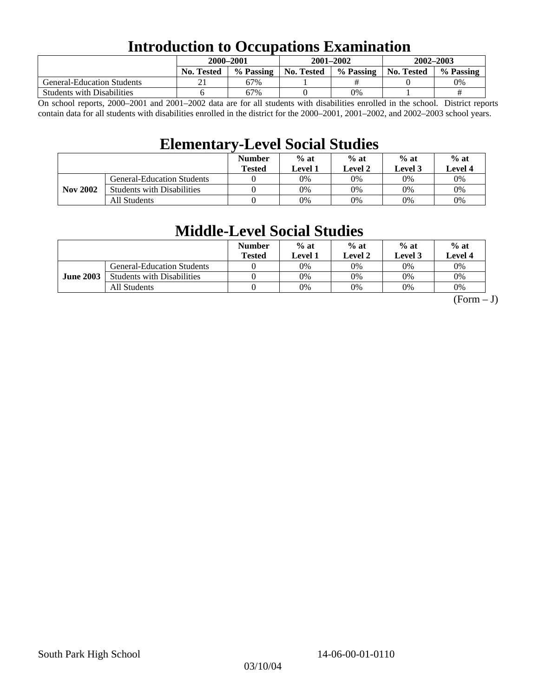## **Introduction to Occupations Examination**

|                                   | 2000-2001         |           | $2001 - 2002$ |           | $2002 - 2003$ |           |  |
|-----------------------------------|-------------------|-----------|---------------|-----------|---------------|-----------|--|
|                                   | <b>No. Tested</b> | % Passing | No. Tested    | % Passing | No. Tested    | % Passing |  |
| <b>General-Education Students</b> |                   | 67%       |               |           |               | 0%        |  |
| <b>Students with Disabilities</b> |                   | 67%       |               | $0\%$     |               | #         |  |

On school reports, 2000–2001 and 2001–2002 data are for all students with disabilities enrolled in the school. District reports contain data for all students with disabilities enrolled in the district for the 2000–2001, 2001–2002, and 2002–2003 school years.

## **Elementary-Level Social Studies**

|                 |                                   | <b>Number</b><br><b>Tested</b> | $%$ at<br>Level 1 | $%$ at<br>Level 2 | $%$ at<br>Level 3 | $%$ at<br><b>Level 4</b> |
|-----------------|-----------------------------------|--------------------------------|-------------------|-------------------|-------------------|--------------------------|
|                 | <b>General-Education Students</b> |                                | 0%                | 0%                | 0%                | 0%                       |
| <b>Nov 2002</b> | <b>Students with Disabilities</b> |                                | 0%                | 0%                | 0%                | 0%                       |
|                 | All Students                      |                                | 0%                | 0%                | 0%                | $0\%$                    |

## **Middle-Level Social Studies**

|                  |                                   | <b>Number</b><br><b>Tested</b> | $%$ at<br>Level 1 | $%$ at<br>Level 2 | $%$ at<br>Level 3 | $%$ at<br>Level 4 |
|------------------|-----------------------------------|--------------------------------|-------------------|-------------------|-------------------|-------------------|
| <b>June 2003</b> | <b>General-Education Students</b> |                                | 0%                | 0%                | 0%                | 0%                |
|                  | <b>Students with Disabilities</b> |                                | 0%                | 0%                | 0%                | 0%                |
|                  | All Students                      |                                | 0%                | 0%                | 0%                | 0%                |

 $(Form - J)$